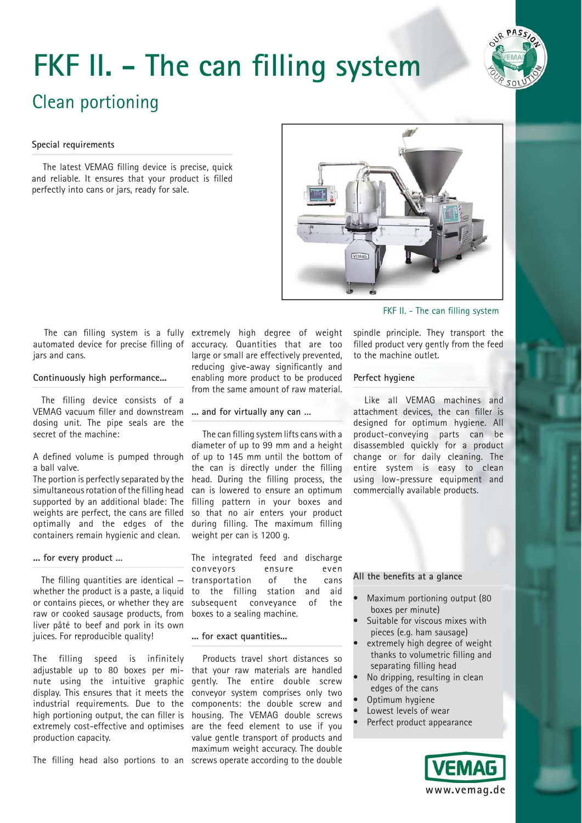# **FKF II. - The can filling system**



# Clean portioning

#### **Special requirements**

The latest VEMAG filling device is precise, quick and reliable. It ensures that your product is filled perfectly into cans or jars, ready for sale.



# FKF II. - The can filling system

automated device for precise filling of jars and cans.

### **Continuously high performance...**

The filling device consists of a VEMAG vacuum filler and downstream dosing unit. The pipe seals are the secret of the machine:

A defined volume is pumped through a ball valve.

The portion is perfectly separated by the simultaneous rotation of the filling head supported by an additional blade: The weights are perfect, the cans are filled optimally and the edges of the containers remain hygienic and clean.

# **... for every product …**

The filling quantities are identical  $$ whether the product is a paste, a liquid or contains pieces, or whether they are raw or cooked sausage products, from liver pâté to beef and pork in its own juices. For reproducible quality!

The filling speed is infinitely production capacity.

The filling head also portions to an screws operate according to the double

The can filling system is a fully extremely high degree of weight accuracy. Quantities that are too large or small are effectively prevented, reducing give-away significantly and enabling more product to be produced from the same amount of raw material.

# **... and for virtually any can …**

The can filling system lifts cans with a diameter of up to 99 mm and a height of up to 145 mm until the bottom of the can is directly under the filling head. During the filling process, the can is lowered to ensure an optimum filling pattern in your boxes and so that no air enters your product during filling. The maximum filling weight per can is 1200 g.

The integrated feed and discharge conveyors ensure even transportation of the cans to the filling station and aid subsequent conveyance of the boxes to a sealing machine.

#### **... for exact quantities...**

adjustable up to 80 boxes per mi-that your raw materials are handled nute using the intuitive graphic gently. The entire double screw display. This ensures that it meets the conveyor system comprises only two industrial requirements. Due to the components: the double screw and high portioning output, the can filler is housing. The VEMAG double screws extremely cost-effective and optimises are the feed element to use if you Products travel short distances so value gentle transport of products and maximum weight accuracy. The double spindle principle. They transport the filled product very gently from the feed to the machine outlet.

# **Perfect hygiene**

Like all VEMAG machines and attachment devices, the can filler is designed for optimum hygiene. All product-conveying parts can be disassembled quickly for a product change or for daily cleaning. The entire system is easy to clean using low-pressure equipment and commercially available products.

### All the benefits at a glance

- Maximum portioning output (80 boxes per minute)
- Suitable for viscous mixes with pieces (e.g. ham sausage)
- extremely high degree of weight thanks to volumetric filling and separating filling head
- No dripping, resulting in clean edges of the cans
- Optimum hygiene
- Lowest levels of wear
- Perfect product appearance